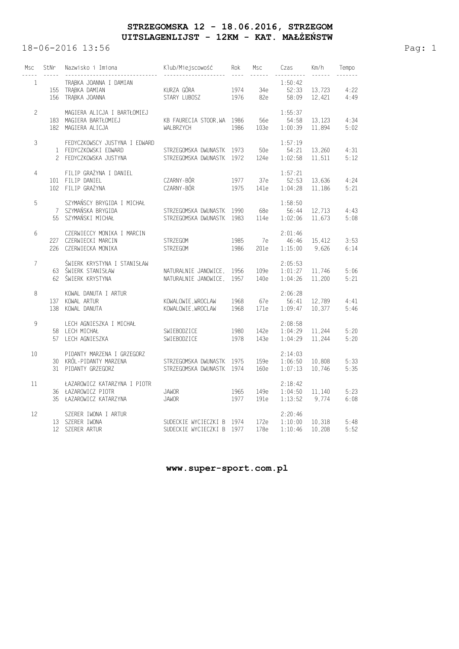## **STRZEGOMSKA 12 - 18.06.2016, STRZEGOM UITSLAGENLIJST - 12KM - KAT. MAŁŻEŃSTW**

18-06-2016 13:56 Pag: 1

| Msc            | StNr | Nazwisko i Imiona                                                                | Klub/Miejscowość                                       | Rok          | Msc<br>$- - - - - -$ | Czas                          | Km/h             | Tempo        |
|----------------|------|----------------------------------------------------------------------------------|--------------------------------------------------------|--------------|----------------------|-------------------------------|------------------|--------------|
| $\mathbf{1}$   |      | TRABKA JOANNA I DAMIAN<br>155 TRABKA DAMIAN<br>156 TRABKA JOANNA                 | KURZA GÓRA<br>STARY LUBOSZ                             | 1974<br>1976 | 34е<br>82e           | 1:50:42<br>52:33<br>58:09     | 13,723<br>12,421 | 4:22<br>4:49 |
| $\overline{c}$ |      | MAGIERA ALICJA I BARTŁOMIEJ<br>183 MAGIERA BARTŁOMIEJ<br>182 MAGIERA ALICJA      | KB FAURECIA STOOR.WA 1986<br>WALBRZYCH                 | 1986         | 56e<br>103e          | 1:55:37<br>54:58<br>1:00:39   | 13,123<br>11.894 | 4:34<br>5:02 |
| 3              |      | FEDYCZKOWSCY JUSTYNA I EDWARD<br>1 FEDYCZKOWSKI EDWARD<br>2 FEDYCZKOWSKA JUSTYNA | STRZEGOMSKA DWUNASTK 1973<br>STRZEGOMSKA DWUNASTK 1972 |              | 50e<br>124e          | 1:57:19<br>54:21<br>1:02:58   | 13,260<br>11.511 | 4:31<br>5:12 |
| 4              |      | FILIP GRAŻYNA I DANIEL<br>101 FILIP DANIEL<br>102 FILIP GRAŻYNA                  | CZARNY-BÓR<br>CZARNY-BÓR                               | 1977<br>1975 | 37e<br>141e          | 1:57:21<br>52:53<br>1:04:28   | 13,636<br>11,186 | 4:24<br>5:21 |
| 5              |      | SZYMAŃSCY BRYGIDA I MICHAŁ<br>7 SZYMAŃSKA BRYGIDA<br>55 SZYMAŃSKI MICHAŁ         | STRZEGOMSKA DWUNASTK 1990<br>STRZEGOMSKA DWUNASTK 1983 |              | 68e<br>114e          | 1:58:50<br>56:44<br>1:02:06   | 12,713<br>11,673 | 4:43<br>5:08 |
| 6              |      | CZERWIECCY MONIKA I MARCIN<br>227 CZERWIECKI MARCIN<br>226 CZERWIECKA MONIKA     | STRZEGOM<br><b>STRZEGOM</b>                            | 1985<br>1986 | 7e<br>201e           | 2:01:46<br>46:46<br>1:15:00   | 15,412<br>9.626  | 3:53<br>6:14 |
| 7              |      | ŚWIERK KRYSTYNA I STANISŁAW<br>63 ŚWIERK STANISŁAW<br>62 ŚWIERK KRYSTYNA         | NATURALNIE JANOWICE,<br>NATURALNIE JANOWICE,           | 1956<br>1957 | 109e<br>140e         | 2:05:53<br>1:01:27<br>1:04:26 | 11,746<br>11,200 | 5:06<br>5:21 |
| 8              |      | KOWAL DANUTA I ARTUR<br>137 KOWAL ARTUR<br>138 KOWAL DANUTA                      | KOWALOWIE, WROCLAW<br>KOWALOWIE, WROCLAW               | 1968<br>1968 | 67e<br>171e          | 2:06:28<br>56:41<br>1:09:47   | 12,789<br>10.377 | 4:41<br>5:46 |
| 9              |      | LECH AGNIESZKA I MICHAŁ<br>58 LECH MICHAŁ<br>57 LECH AGNIESZKA                   | SWIEBODZICE<br>SWIEBODZICE                             | 1980<br>1978 | 142e<br>143e         | 2:08:58<br>1:04:29<br>1:04:29 | 11,244<br>11.244 | 5:20<br>5:20 |
| 10             |      | PIDANTY MARZENA I GRZEGORZ<br>30 KRÓL-PIDANTY MARZENA<br>31 PIDANTY GRZEGORZ     | STRZEGOMSKA DWUNASTK<br>STRZEGOMSKA DWUNASTK 1974      | 1975         | 159e<br>160e         | 2:14:03<br>1:06:50<br>1:07:13 | 10.808<br>10.746 | 5:33<br>5:35 |
| 11             |      | ŁAZAROWICZ KATARZYNA I PIOTR<br>36 ŁAZAROWICZ PIOTR<br>35 ŁAZAROWICZ KATARZYNA   | <b>JAWOR</b><br><b>JAWOR</b>                           | 1965<br>1977 | 149e<br>191e         | 2:18:42<br>1:04:50<br>1:13:52 | 11,140<br>9,774  | 5:23<br>6:08 |
| 12             |      | SZERER IWONA I ARTUR<br>13 SZERER IWONA<br>12 SZERER ARTUR                       | SUDECKIE WYCIECZKI B<br>SUDECKIE WYCIECZKI B 1977      | 1974         | 172e<br>178e         | 2:20:46<br>1:10:00<br>1:10:46 | 10,318<br>10,208 | 5:48<br>5:52 |

 **www.super-sport.com.pl**